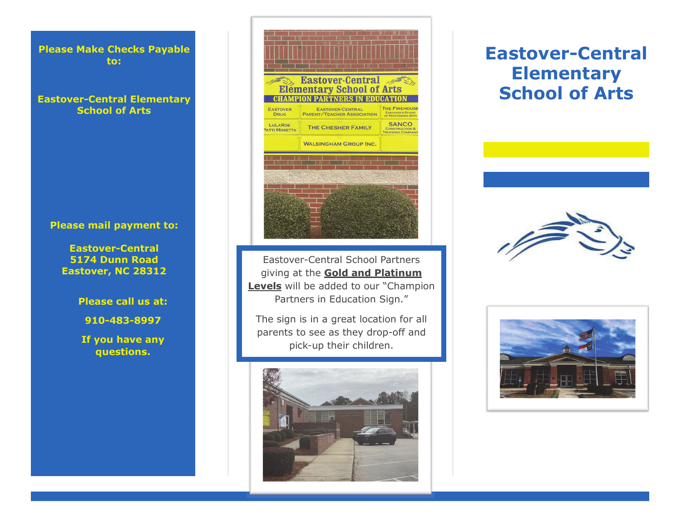**Please Make Checks Payable to:** 

## **Eastover-Central Elementary School of Arts**

#### **Please mail payment to:**

**Eastover-Central 5174 Dunn Road Eastover, NC 28312** 

**Please call us at:** 

**910-483-8997** 

**If you have any questions.**



Eastover-Central School Partners giving at the **Gold and Platinum Levels** will be added to our "Champion Partners in Education Sign."

The sign is in a great location for all parents to see as they drop-off and pick-up their children.



# **Eastover-Central Elementary School of Arts**